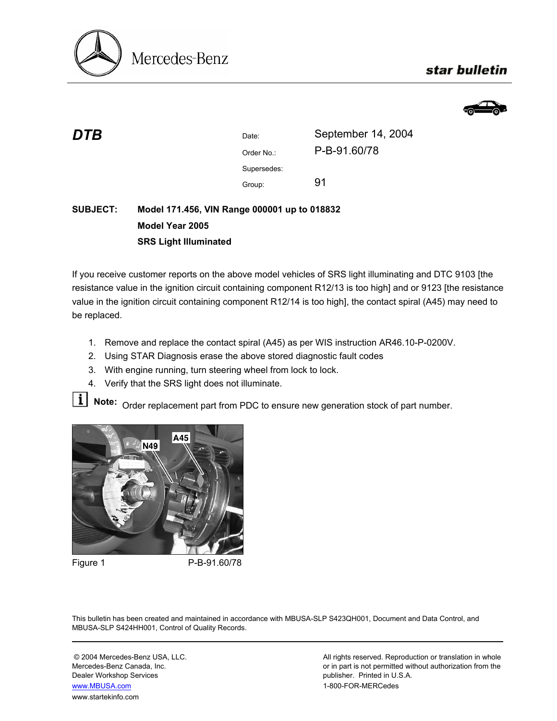

## star bulletin



| DTB             |                                              | Date:       | September 14, 2004 |
|-----------------|----------------------------------------------|-------------|--------------------|
|                 |                                              | Order No.:  | P-B-91.60/78       |
|                 |                                              | Supersedes: |                    |
|                 |                                              | Group:      | 91                 |
| <b>SUBJECT:</b> | Model 171.456, VIN Range 000001 up to 018832 |             |                    |

# **Model Year 2005 SRS Light Illuminated**

If you receive customer reports on the above model vehicles of SRS light illuminating and DTC 9103 [the resistance value in the ignition circuit containing component R12/13 is too high] and or 9123 [the resistance value in the ignition circuit containing component R12/14 is too high], the contact spiral (A45) may need to be replaced.

- 1. Remove and replace the contact spiral (A45) as per WIS instruction AR46.10-P-0200V.
- 2. Using STAR Diagnosis erase the above stored diagnostic fault codes
- 3. With engine running, turn steering wheel from lock to lock.
- 4. Verify that the SRS light does not illuminate.

**Note:** Order replacement part from PDC to ensure new generation stock of part number.



Figure 1 P-B-91.60/78

This bulletin has been created and maintained in accordance with MBUSA-SLP S423QH001, Document and Data Control, and MBUSA-SLP S424HH001, Control of Quality Records.

Dealer Workshop Services publisher. Printed in U.S.A. www.MBUSA.com 1-800-FOR-MERCedes www.startekinfo.com

© 2004 Mercedes-Benz USA, LLC. <br>Mercedes-Benz Canada, Inc. All rights reserved. Reproduction or translation in whole<br>or in part is not permitted without authorization from the or in part is not permitted without authorization from the